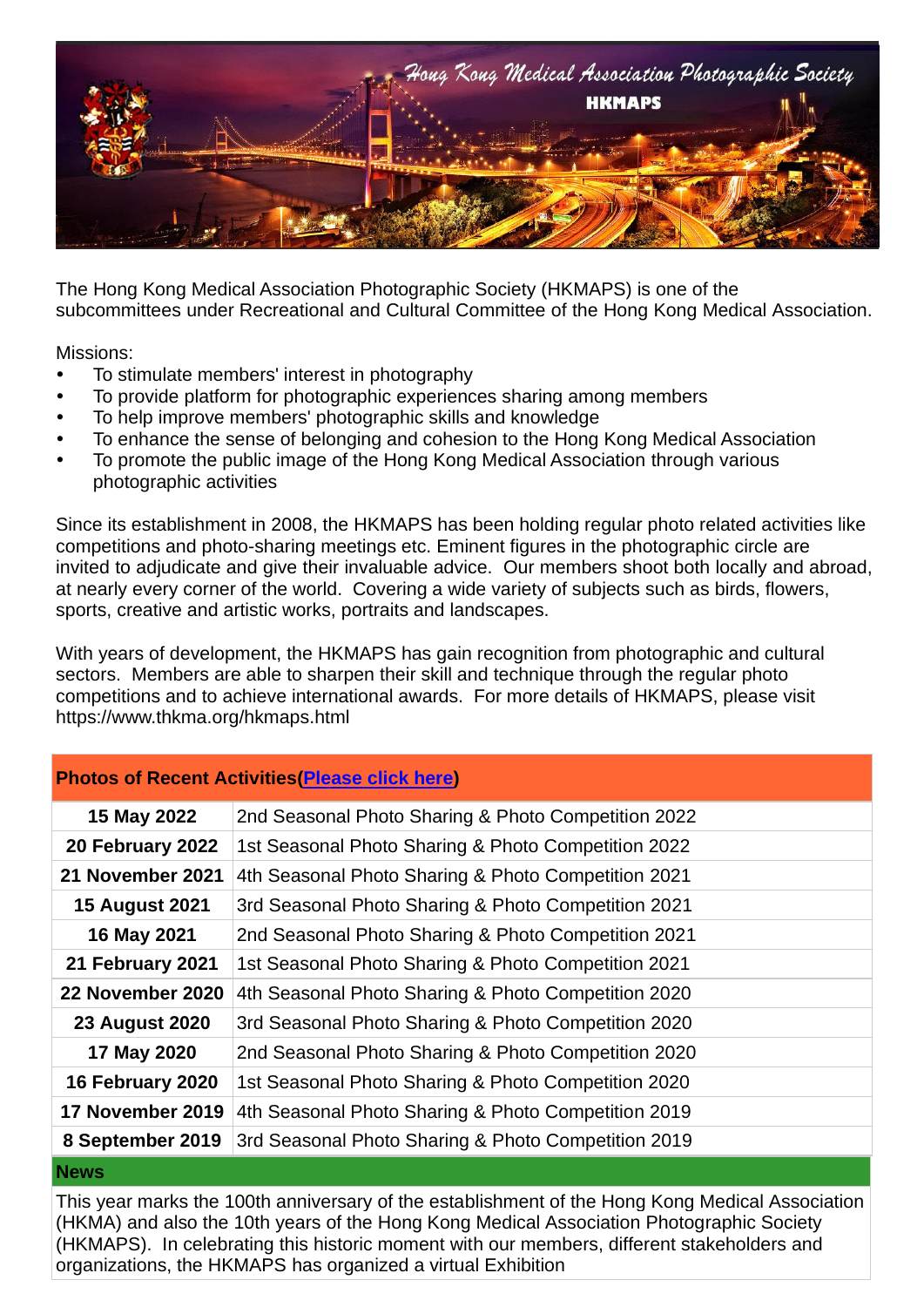

The Hong Kong Medical Association Photographic Society (HKMAPS) is one of the subcommittees under Recreational and Cultural Committee of the Hong Kong Medical Association.

Missions:

- To stimulate members' interest in photography
- To provide platform for photographic experiences sharing among members
- To help improve members' photographic skills and knowledge
- To enhance the sense of belonging and cohesion to the Hong Kong Medical Association
- To promote the public image of the Hong Kong Medical Association through various photographic activities

Since its establishment in 2008, the HKMAPS has been holding regular photo related activities like competitions and photo-sharing meetings etc. Eminent figures in the photographic circle are invited to adjudicate and give their invaluable advice. Our members shoot both locally and abroad, at nearly every corner of the world. Covering a wide variety of subjects such as birds, flowers, sports, creative and artistic works, portraits and landscapes.

With years of development, the HKMAPS has gain recognition from photographic and cultural sectors. Members are able to sharpen their skill and technique through the regular photo competitions and to achieve international awards. For more details of HKMAPS, please visit https://www.thkma.org/hkmaps.html

#### **Photos of Recent Activities[\(Please click here\)](https://cutt.ly/SxvaFo5)**

| 15 May 2022           | 2nd Seasonal Photo Sharing & Photo Competition 2022 |
|-----------------------|-----------------------------------------------------|
| 20 February 2022      | 1st Seasonal Photo Sharing & Photo Competition 2022 |
| 21 November 2021      | 4th Seasonal Photo Sharing & Photo Competition 2021 |
| <b>15 August 2021</b> | 3rd Seasonal Photo Sharing & Photo Competition 2021 |
| 16 May 2021           | 2nd Seasonal Photo Sharing & Photo Competition 2021 |
| 21 February 2021      | 1st Seasonal Photo Sharing & Photo Competition 2021 |
| 22 November 2020      | 4th Seasonal Photo Sharing & Photo Competition 2020 |
| <b>23 August 2020</b> | 3rd Seasonal Photo Sharing & Photo Competition 2020 |
| 17 May 2020           | 2nd Seasonal Photo Sharing & Photo Competition 2020 |
| 16 February 2020      | 1st Seasonal Photo Sharing & Photo Competition 2020 |
| 17 November 2019      | 4th Seasonal Photo Sharing & Photo Competition 2019 |
| 8 September 2019      | 3rd Seasonal Photo Sharing & Photo Competition 2019 |
| <b>News</b>           |                                                     |

This year marks the 100th anniversary of the establishment of the Hong Kong Medical Association (HKMA) and also the 10th years of the Hong Kong Medical Association Photographic Society (HKMAPS). In celebrating this historic moment with our members, different stakeholders and organizations, the HKMAPS has organized a virtual Exhibition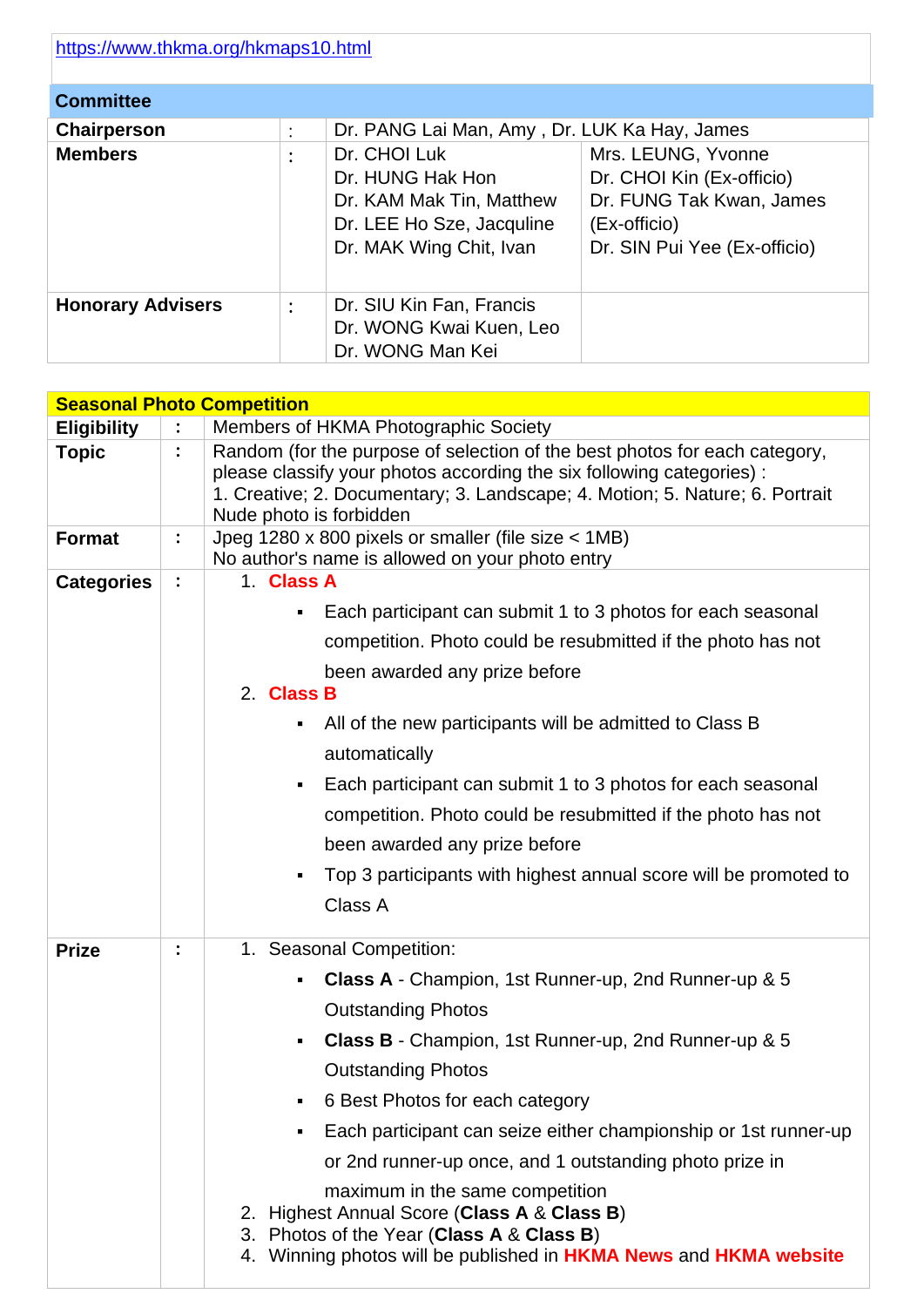| <b>Committee</b>         |                        |                                                                                                                      |                                                                                                                             |
|--------------------------|------------------------|----------------------------------------------------------------------------------------------------------------------|-----------------------------------------------------------------------------------------------------------------------------|
| Chairperson              | $\bullet$<br>$\bullet$ | Dr. PANG Lai Man, Amy, Dr. LUK Ka Hay, James                                                                         |                                                                                                                             |
| <b>Members</b>           | $\bullet$              | Dr. CHOI Luk<br>Dr. HUNG Hak Hon<br>Dr. KAM Mak Tin, Matthew<br>Dr. LEE Ho Sze, Jacquline<br>Dr. MAK Wing Chit, Ivan | Mrs. LEUNG, Yvonne<br>Dr. CHOI Kin (Ex-officio)<br>Dr. FUNG Tak Kwan, James<br>(Ex-officio)<br>Dr. SIN Pui Yee (Ex-officio) |
| <b>Honorary Advisers</b> | $\bullet$              | Dr. SIU Kin Fan, Francis<br>Dr. WONG Kwai Kuen, Leo<br>Dr. WONG Man Kei                                              |                                                                                                                             |

|                    |                | <b>Seasonal Photo Competition</b>                                                                                                                                                                                                                             |  |  |  |  |
|--------------------|----------------|---------------------------------------------------------------------------------------------------------------------------------------------------------------------------------------------------------------------------------------------------------------|--|--|--|--|
| <b>Eligibility</b> |                | Members of HKMA Photographic Society                                                                                                                                                                                                                          |  |  |  |  |
| <b>Topic</b>       | $\ddot{\cdot}$ | Random (for the purpose of selection of the best photos for each category,<br>please classify your photos according the six following categories):<br>1. Creative; 2. Documentary; 3. Landscape; 4. Motion; 5. Nature; 6. Portrait<br>Nude photo is forbidden |  |  |  |  |
| <b>Format</b>      | $\ddot{\cdot}$ | Jpeg 1280 x 800 pixels or smaller (file size < 1MB)<br>No author's name is allowed on your photo entry                                                                                                                                                        |  |  |  |  |
| <b>Categories</b>  | $\ddot{\cdot}$ | 1. Class A                                                                                                                                                                                                                                                    |  |  |  |  |
|                    |                | Each participant can submit 1 to 3 photos for each seasonal<br>٠                                                                                                                                                                                              |  |  |  |  |
|                    |                | competition. Photo could be resubmitted if the photo has not                                                                                                                                                                                                  |  |  |  |  |
|                    |                | been awarded any prize before<br>2. Class B                                                                                                                                                                                                                   |  |  |  |  |
|                    |                | All of the new participants will be admitted to Class B<br>٠<br>automatically                                                                                                                                                                                 |  |  |  |  |
|                    |                | Each participant can submit 1 to 3 photos for each seasonal<br>٠                                                                                                                                                                                              |  |  |  |  |
|                    |                | competition. Photo could be resubmitted if the photo has not                                                                                                                                                                                                  |  |  |  |  |
|                    |                | been awarded any prize before                                                                                                                                                                                                                                 |  |  |  |  |
|                    |                | Top 3 participants with highest annual score will be promoted to<br>٠<br>Class A                                                                                                                                                                              |  |  |  |  |
|                    |                |                                                                                                                                                                                                                                                               |  |  |  |  |
| <b>Prize</b>       | $\ddot{\cdot}$ | 1. Seasonal Competition:                                                                                                                                                                                                                                      |  |  |  |  |
|                    |                | Class A - Champion, 1st Runner-up, 2nd Runner-up & 5<br>٠                                                                                                                                                                                                     |  |  |  |  |
|                    |                | <b>Outstanding Photos</b>                                                                                                                                                                                                                                     |  |  |  |  |
|                    |                | Class B - Champion, 1st Runner-up, 2nd Runner-up & 5<br>٠                                                                                                                                                                                                     |  |  |  |  |
|                    |                | <b>Outstanding Photos</b>                                                                                                                                                                                                                                     |  |  |  |  |
|                    |                | 6 Best Photos for each category                                                                                                                                                                                                                               |  |  |  |  |
|                    |                | Each participant can seize either championship or 1st runner-up<br>٠                                                                                                                                                                                          |  |  |  |  |
|                    |                | or 2nd runner-up once, and 1 outstanding photo prize in                                                                                                                                                                                                       |  |  |  |  |
|                    |                | maximum in the same competition<br>2. Highest Annual Score (Class A & Class B)<br>Photos of the Year (Class A & Class B)<br>3.<br>4. Winning photos will be published in HKMA News and HKMA website                                                           |  |  |  |  |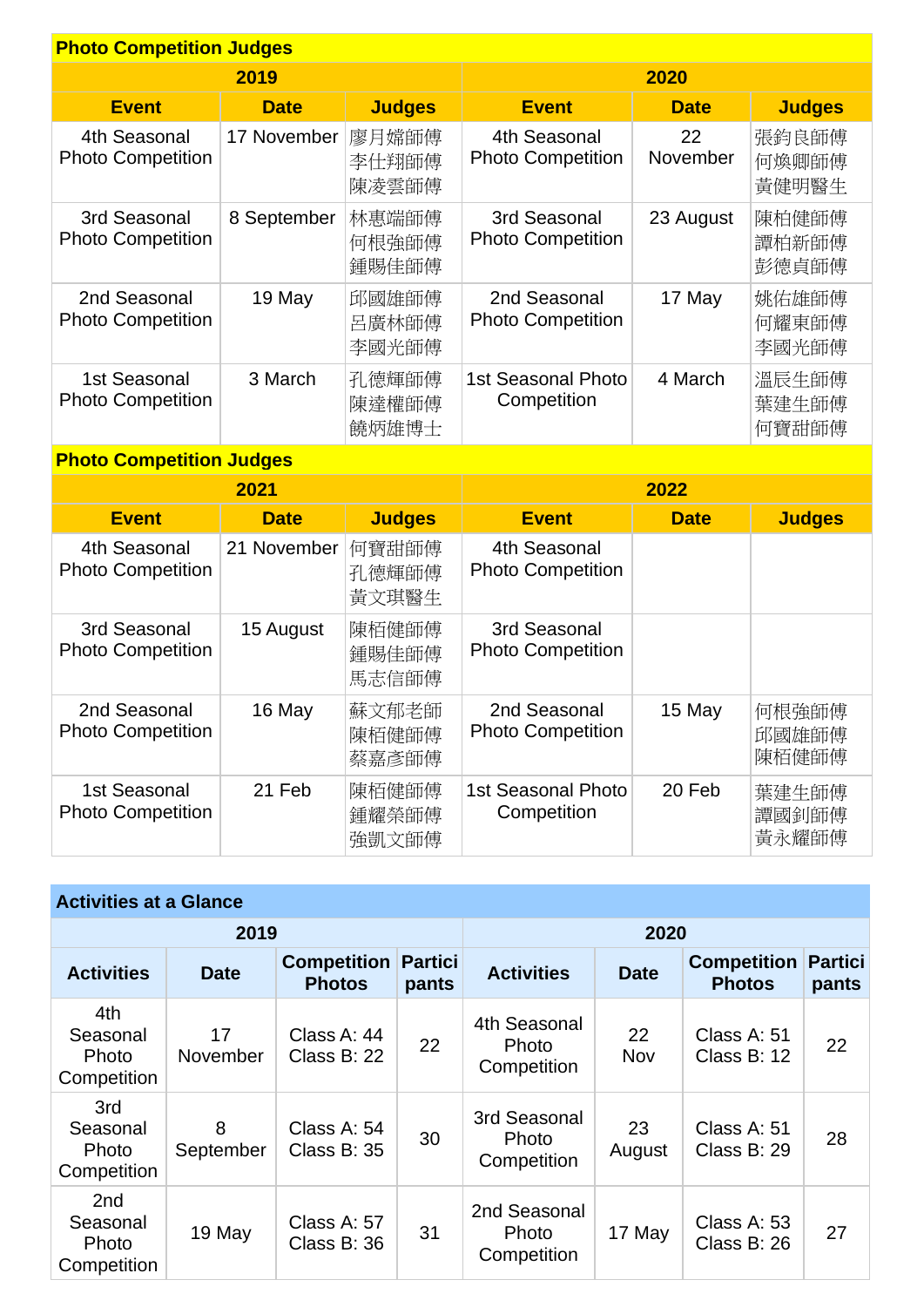| <b>Photo Competition Judges</b>          |             |                         |                                          |                |                         |  |  |
|------------------------------------------|-------------|-------------------------|------------------------------------------|----------------|-------------------------|--|--|
|                                          | 2019        |                         | 2020                                     |                |                         |  |  |
| <b>Event</b>                             | <b>Date</b> | <b>Judges</b>           | <b>Event</b>                             | <b>Date</b>    | <b>Judges</b>           |  |  |
| 4th Seasonal<br><b>Photo Competition</b> | 17 November | 廖月嫦師傅<br>李仕翔師傅<br>陳凌雲師傅 | 4th Seasonal<br><b>Photo Competition</b> | 22<br>November | 張鈞良師傅<br>何煥卿師傅<br>黃健明醫生 |  |  |
| 3rd Seasonal<br><b>Photo Competition</b> | 8 September | 林惠端師傅<br>何根強師傅<br>鍾賜佳師傅 | 3rd Seasonal<br><b>Photo Competition</b> | 23 August      | 陳柏健師傅<br>譚柏新師傅<br>彭德貞師傅 |  |  |
| 2nd Seasonal<br><b>Photo Competition</b> | 19 May      | 邱國雄師傅<br>呂廣林師傅<br>李國光師傅 | 2nd Seasonal<br><b>Photo Competition</b> | 17 May         | 姚佑雄師傅<br>何耀東師傅<br>李國光師傅 |  |  |
| 1st Seasonal<br><b>Photo Competition</b> | 3 March     | 孔德輝師傅<br>陳達權師傅<br>饒炳雄博士 | <b>1st Seasonal Photo</b><br>Competition | 4 March        | 溫辰生師傅<br>葉建生師傅<br>何寶甜師傅 |  |  |

# **Photo Competition Judges**

|                                          | 2021        |                         |                                          | 2022        |                         |
|------------------------------------------|-------------|-------------------------|------------------------------------------|-------------|-------------------------|
| <b>Event</b>                             | <b>Date</b> | <b>Judges</b>           | <b>Event</b>                             | <b>Date</b> | <b>Judges</b>           |
| 4th Seasonal<br><b>Photo Competition</b> | 21 November | 何寶甜師傅<br>孔德輝師傅<br>黃文琪醫生 | 4th Seasonal<br><b>Photo Competition</b> |             |                         |
| 3rd Seasonal<br><b>Photo Competition</b> | 15 August   | 陳栢健師傅<br>鍾賜佳師傅<br>馬志信師傅 | 3rd Seasonal<br><b>Photo Competition</b> |             |                         |
| 2nd Seasonal<br><b>Photo Competition</b> | 16 May      | 蘇文郁老師<br>陳栢健師傅<br>蔡嘉彥師傅 | 2nd Seasonal<br><b>Photo Competition</b> | 15 May      | 何根強師傅<br>邱國雄師傅<br>陳栢健師傅 |
| 1st Seasonal<br><b>Photo Competition</b> | 21 Feb      | 陳栢健師傅<br>鍾耀榮師傅<br>強凱文師傅 | 1st Seasonal Photo<br>Competition        | 20 Feb      | 葉建生師傅<br>譚國釗師傅<br>黃永耀師傅 |

| <b>Activities at a Glance</b>           |                |                                     |                         |                                      |              |                                     |                         |  |
|-----------------------------------------|----------------|-------------------------------------|-------------------------|--------------------------------------|--------------|-------------------------------------|-------------------------|--|
|                                         | 2019           |                                     |                         |                                      | 2020         |                                     |                         |  |
| <b>Activities</b>                       | <b>Date</b>    | <b>Competition</b><br><b>Photos</b> | <b>Partici</b><br>pants | <b>Activities</b>                    | <b>Date</b>  | <b>Competition</b><br><b>Photos</b> | <b>Partici</b><br>pants |  |
| 4th<br>Seasonal<br>Photo<br>Competition | 17<br>November | Class A: 44<br>Class B: 22          | 22                      | 4th Seasonal<br>Photo<br>Competition | 22<br>Nov    | Class A: 51<br>Class B: 12          | 22                      |  |
| 3rd<br>Seasonal<br>Photo<br>Competition | 8<br>September | Class A: 54<br>Class B: 35          | 30                      | 3rd Seasonal<br>Photo<br>Competition | 23<br>August | Class A: 51<br>Class B: 29          | 28                      |  |
| 2nd<br>Seasonal<br>Photo<br>Competition | 19 May         | Class A: 57<br>Class B: 36          | 31                      | 2nd Seasonal<br>Photo<br>Competition | 17 May       | Class A: 53<br>Class B: 26          | 27                      |  |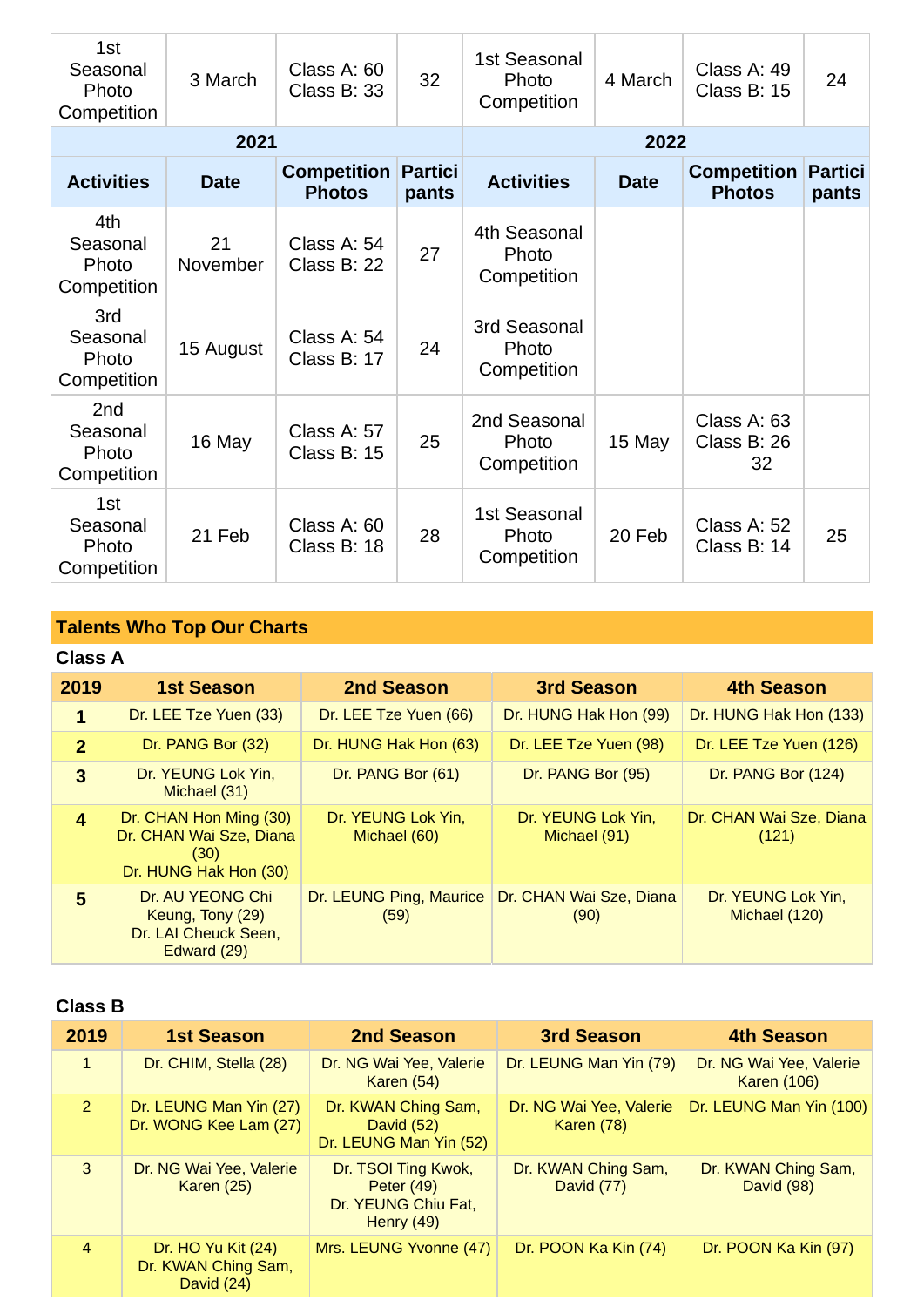| 1st<br>Seasonal<br>Photo<br>Competition             | 3 March        | Class A: 60<br>Class B: 33          | 32                      | 1st Seasonal<br>Photo<br>Competition | 4 March     | Class A: 49<br>Class B: 15          | 24                      |
|-----------------------------------------------------|----------------|-------------------------------------|-------------------------|--------------------------------------|-------------|-------------------------------------|-------------------------|
|                                                     | 2021           |                                     |                         |                                      | 2022        |                                     |                         |
| <b>Activities</b>                                   | <b>Date</b>    | <b>Competition</b><br><b>Photos</b> | <b>Partici</b><br>pants | <b>Activities</b>                    | <b>Date</b> | <b>Competition</b><br><b>Photos</b> | <b>Partici</b><br>pants |
| 4th<br>Seasonal<br>Photo<br>Competition             | 21<br>November | Class A: 54<br>Class B: 22          | 27                      | 4th Seasonal<br>Photo<br>Competition |             |                                     |                         |
| 3rd<br>Seasonal<br>Photo<br>Competition             | 15 August      | Class A: 54<br>Class B: 17          | 24                      | 3rd Seasonal<br>Photo<br>Competition |             |                                     |                         |
| 2 <sub>nd</sub><br>Seasonal<br>Photo<br>Competition | 16 May         | Class A: 57<br>Class B: 15          | 25                      | 2nd Seasonal<br>Photo<br>Competition | 15 May      | Class A: 63<br>Class B: 26<br>32    |                         |
| 1st<br>Seasonal<br>Photo<br>Competition             | 21 Feb         | Class A: 60<br>Class B: 18          | 28                      | 1st Seasonal<br>Photo<br>Competition | 20 Feb      | Class A: 52<br>Class B: 14          | 25                      |

# **Talents Who Top Our Charts**

# **Class A**

| 2019           | <b>1st Season</b>                                                                  | <b>2nd Season</b>                  | 3rd Season                         | <b>4th Season</b>                   |
|----------------|------------------------------------------------------------------------------------|------------------------------------|------------------------------------|-------------------------------------|
| 1              | Dr. LEE Tze Yuen (33)                                                              | Dr. LEE Tze Yuen (66)              | Dr. HUNG Hak Hon (99)              | Dr. HUNG Hak Hon (133)              |
| $\overline{2}$ | Dr. PANG Bor (32)                                                                  | Dr. HUNG Hak Hon (63)              | Dr. LEE Tze Yuen (98)              | Dr. LEE Tze Yuen (126)              |
| $\mathbf{3}$   | Dr. YEUNG Lok Yin,<br>Michael (31)                                                 | Dr. PANG Bor (61)                  | Dr. PANG Bor (95)                  | Dr. PANG Bor (124)                  |
| 4              | Dr. CHAN Hon Ming (30)<br>Dr. CHAN Wai Sze, Diana<br>(30)<br>Dr. HUNG Hak Hon (30) | Dr. YEUNG Lok Yin,<br>Michael (60) | Dr. YEUNG Lok Yin,<br>Michael (91) | Dr. CHAN Wai Sze, Diana<br>(121)    |
| 5              | Dr. AU YEONG Chi<br>Keung, Tony (29)<br>Dr. LAI Cheuck Seen,<br>Edward (29)        | Dr. LEUNG Ping, Maurice<br>(59)    | Dr. CHAN Wai Sze, Diana<br>(90)    | Dr. YEUNG Lok Yin,<br>Michael (120) |

#### **Class B**

| 2019           | <b>1st Season</b>                                       | 2nd Season                                                                 | <b>3rd Season</b>                            | <b>4th Season</b>                             |
|----------------|---------------------------------------------------------|----------------------------------------------------------------------------|----------------------------------------------|-----------------------------------------------|
| $\mathbf{1}$   | Dr. CHIM, Stella (28)                                   | Dr. NG Wai Yee, Valerie<br>Karen $(54)$                                    | Dr. LEUNG Man Yin (79)                       | Dr. NG Wai Yee, Valerie<br><b>Karen (106)</b> |
| 2              | Dr. LEUNG Man Yin (27)<br>Dr. WONG Kee Lam (27)         | Dr. KWAN Ching Sam,<br>David (52)<br>Dr. LEUNG Man Yin (52)                | Dr. NG Wai Yee, Valerie<br><b>Karen (78)</b> | Dr. LEUNG Man Yin (100)                       |
| 3              | Dr. NG Wai Yee, Valerie<br>Karen (25)                   | Dr. TSOI Ting Kwok,<br>Peter $(49)$<br>Dr. YEUNG Chiu Fat,<br>Henry $(49)$ | Dr. KWAN Ching Sam,<br>David (77)            | Dr. KWAN Ching Sam,<br>David (98)             |
| $\overline{4}$ | Dr. HO Yu Kit (24)<br>Dr. KWAN Ching Sam,<br>David (24) | Mrs. LEUNG Yvonne (47)                                                     | Dr. POON Ka Kin (74)                         | Dr. POON Ka Kin (97)                          |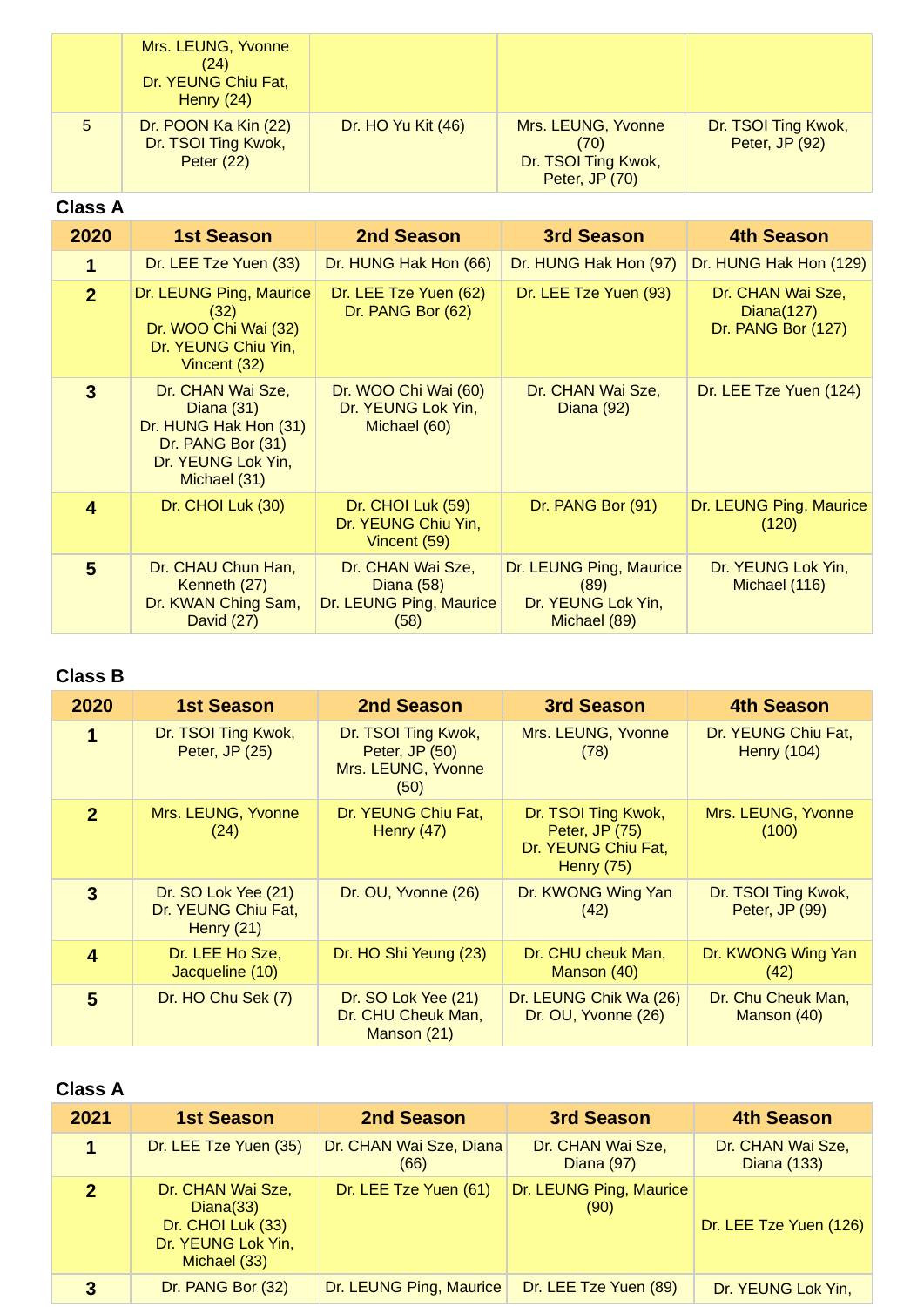|   | Mrs. LEUNG, Yvonne<br>(24)<br>Dr. YEUNG Chiu Fat,<br>Henry $(24)$ |                    |                                                                     |                                       |
|---|-------------------------------------------------------------------|--------------------|---------------------------------------------------------------------|---------------------------------------|
| 5 | Dr. POON Ka Kin (22)<br>Dr. TSOI Ting Kwok,<br><b>Peter (22)</b>  | Dr. HO Yu Kit (46) | Mrs. LEUNG, Yvonne<br>(70)<br>Dr. TSOI Ting Kwok,<br>Peter, JP (70) | Dr. TSOI Ting Kwok,<br>Peter, JP (92) |

# **Class A**

| 2020                    | <b>1st Season</b>                                                                                                     | 2nd Season                                                         | 3rd Season                                                            | 4th Season                                               |
|-------------------------|-----------------------------------------------------------------------------------------------------------------------|--------------------------------------------------------------------|-----------------------------------------------------------------------|----------------------------------------------------------|
| 1                       | Dr. LEE Tze Yuen (33)                                                                                                 | Dr. HUNG Hak Hon (66)                                              | Dr. HUNG Hak Hon (97)                                                 | Dr. HUNG Hak Hon (129)                                   |
| 2 <sup>2</sup>          | Dr. LEUNG Ping, Maurice<br>(32)<br>Dr. WOO Chi Wai (32)<br>Dr. YEUNG Chiu Yin,<br>Vincent (32)                        | Dr. LEE Tze Yuen (62)<br>Dr. PANG Bor (62)                         | Dr. LEE Tze Yuen (93)                                                 | Dr. CHAN Wai Sze,<br>Diana $(127)$<br>Dr. PANG Bor (127) |
| $\overline{3}$          | Dr. CHAN Wai Sze,<br>Diana $(31)$<br>Dr. HUNG Hak Hon (31)<br>Dr. PANG Bor (31)<br>Dr. YEUNG Lok Yin,<br>Michael (31) | Dr. WOO Chi Wai (60)<br>Dr. YEUNG Lok Yin,<br>Michael (60)         | Dr. CHAN Wai Sze,<br><b>Diana (92)</b>                                | Dr. LEE Tze Yuen (124)                                   |
| $\overline{\mathbf{4}}$ | Dr. CHOI Luk (30)                                                                                                     | Dr. CHOI Luk (59)<br>Dr. YEUNG Chiu Yin,<br>Vincent (59)           | Dr. PANG Bor (91)                                                     | Dr. LEUNG Ping, Maurice<br>(120)                         |
| $5\phantom{1}$          | Dr. CHAU Chun Han,<br>Kenneth (27)<br>Dr. KWAN Ching Sam,<br>David (27)                                               | Dr. CHAN Wai Sze,<br>Diana (58)<br>Dr. LEUNG Ping, Maurice<br>(58) | Dr. LEUNG Ping, Maurice<br>(89)<br>Dr. YEUNG Lok Yin,<br>Michael (89) | Dr. YEUNG Lok Yin,<br>Michael (116)                      |

# **Class B**

| 2020           | <b>1st Season</b>                                          | 2nd Season                                                          | <b>3rd Season</b>                                                            | <b>4th Season</b>                         |
|----------------|------------------------------------------------------------|---------------------------------------------------------------------|------------------------------------------------------------------------------|-------------------------------------------|
| 1              | Dr. TSOI Ting Kwok,<br>Peter, JP (25)                      | Dr. TSOI Ting Kwok,<br>Peter, JP (50)<br>Mrs. LEUNG, Yvonne<br>(50) | Mrs. LEUNG, Yvonne<br>(78)                                                   | Dr. YEUNG Chiu Fat,<br><b>Henry (104)</b> |
| 2 <sup>2</sup> | Mrs. LEUNG, Yvonne<br>(24)                                 | Dr. YEUNG Chiu Fat,<br>Henry $(47)$                                 | Dr. TSOI Ting Kwok,<br>Peter, JP (75)<br>Dr. YEUNG Chiu Fat,<br>Henry $(75)$ | Mrs. LEUNG, Yvonne<br>(100)               |
| 3              | Dr. SO Lok Yee (21)<br>Dr. YEUNG Chiu Fat,<br>Henry $(21)$ | Dr. OU, Yvonne (26)                                                 | Dr. KWONG Wing Yan<br>(42)                                                   | Dr. TSOI Ting Kwok,<br>Peter, JP (99)     |
| 4              | Dr. LEE Ho Sze,<br>Jacqueline (10)                         | Dr. HO Shi Yeung (23)                                               | Dr. CHU cheuk Man,<br>Manson (40)                                            | Dr. KWONG Wing Yan<br>(42)                |
| 5              | Dr. HO Chu Sek (7)                                         | Dr. SO Lok Yee (21)<br>Dr. CHU Cheuk Man,<br>Manson (21)            | Dr. LEUNG Chik Wa (26)<br>Dr. OU, Yvonne (26)                                | Dr. Chu Cheuk Man,<br>Manson (40)         |

| 2021           | <b>1st Season</b>                                                                         | 2nd Season                      | <b>3rd Season</b>               | <b>4th Season</b>                |
|----------------|-------------------------------------------------------------------------------------------|---------------------------------|---------------------------------|----------------------------------|
| 1              | Dr. LEE Tze Yuen (35)                                                                     | Dr. CHAN Wai Sze, Diana<br>(66) | Dr. CHAN Wai Sze,<br>Diana (97) | Dr. CHAN Wai Sze,<br>Diana (133) |
| $\overline{2}$ | Dr. CHAN Wai Sze,<br>Diana(33)<br>Dr. CHOI Luk (33)<br>Dr. YEUNG Lok Yin,<br>Michael (33) | Dr. LEE Tze Yuen (61)           | Dr. LEUNG Ping, Maurice<br>(90) | Dr. LEE Tze Yuen (126)           |
| 3              | Dr. PANG Bor (32)                                                                         | Dr. LEUNG Ping, Maurice         | Dr. LEE Tze Yuen (89)           | Dr. YEUNG Lok Yin,               |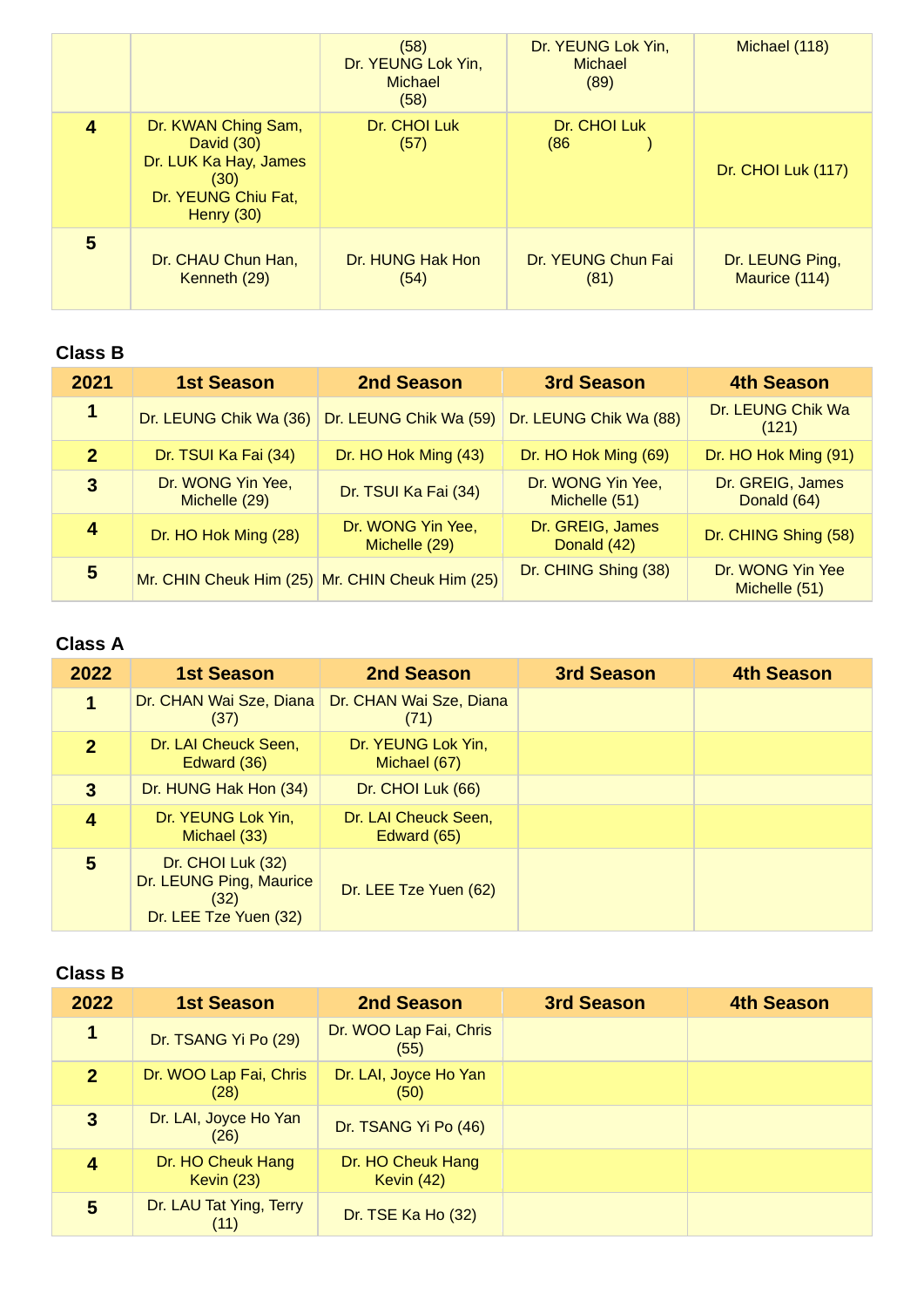|   |                                                                                                           | (58)<br>Dr. YEUNG Lok Yin,<br><b>Michael</b><br>(58) | Dr. YEUNG Lok Yin,<br><b>Michael</b><br>(89) | Michael (118)                    |
|---|-----------------------------------------------------------------------------------------------------------|------------------------------------------------------|----------------------------------------------|----------------------------------|
| 4 | Dr. KWAN Ching Sam,<br>David (30)<br>Dr. LUK Ka Hay, James<br>(30)<br>Dr. YEUNG Chiu Fat,<br>Henry $(30)$ | Dr. CHOI Luk<br>(57)                                 | Dr. CHOI Luk<br>(86)                         | Dr. CHOI Luk (117)               |
| 5 | Dr. CHAU Chun Han,<br>Kenneth (29)                                                                        | Dr. HUNG Hak Hon<br>(54)                             | Dr. YEUNG Chun Fai<br>(81)                   | Dr. LEUNG Ping,<br>Maurice (114) |

| 2021           | <b>1st Season</b>                  | 2nd Season                                      | <b>3rd Season</b>                  | <b>4th Season</b>                 |
|----------------|------------------------------------|-------------------------------------------------|------------------------------------|-----------------------------------|
| 1              | Dr. LEUNG Chik Wa (36)             | Dr. LEUNG Chik Wa (59)                          | Dr. LEUNG Chik Wa (88)             | Dr. LEUNG Chik Wa<br>(121)        |
| 2 <sup>1</sup> | Dr. TSUI Ka Fai (34)               | Dr. HO Hok Ming (43)                            | Dr. HO Hok Ming (69)               | Dr. HO Hok Ming (91)              |
| 3              | Dr. WONG Yin Yee,<br>Michelle (29) | Dr. TSUI Ka Fai (34)                            | Dr. WONG Yin Yee,<br>Michelle (51) | Dr. GREIG, James<br>Donald (64)   |
| 4              | Dr. HO Hok Ming (28)               | Dr. WONG Yin Yee,<br>Michelle (29)              | Dr. GREIG, James<br>Donald (42)    | Dr. CHING Shing (58)              |
| 5              |                                    | Mr. CHIN Cheuk Him (25) Mr. CHIN Cheuk Him (25) | Dr. CHING Shing (38)               | Dr. WONG Yin Yee<br>Michelle (51) |

## **Class A**

| 2022         | <b>1st Season</b>                                                             | 2nd Season                          | 3rd Season | <b>4th Season</b> |
|--------------|-------------------------------------------------------------------------------|-------------------------------------|------------|-------------------|
| 1            | Dr. CHAN Wai Sze, Diana<br>(37)                                               | Dr. CHAN Wai Sze, Diana<br>(71)     |            |                   |
| $\mathbf{P}$ | Dr. LAI Cheuck Seen,<br>Edward (36)                                           | Dr. YEUNG Lok Yin,<br>Michael (67)  |            |                   |
| 3            | Dr. HUNG Hak Hon (34)                                                         | Dr. CHOI Luk (66)                   |            |                   |
| 4            | Dr. YEUNG Lok Yin,<br>Michael (33)                                            | Dr. LAI Cheuck Seen,<br>Edward (65) |            |                   |
| 5            | Dr. CHOI Luk (32)<br>Dr. LEUNG Ping, Maurice<br>(32)<br>Dr. LEE Tze Yuen (32) | Dr. LEE Tze Yuen (62)               |            |                   |

#### **Class B**

| 2022           | <b>1st Season</b>                 | 2nd Season                      | 3rd Season | <b>4th Season</b> |
|----------------|-----------------------------------|---------------------------------|------------|-------------------|
| 1              | Dr. TSANG Yi Po (29)              | Dr. WOO Lap Fai, Chris<br>(55)  |            |                   |
| 2 <sup>1</sup> | Dr. WOO Lap Fai, Chris<br>(28)    | Dr. LAI, Joyce Ho Yan<br>(50)   |            |                   |
| $\mathbf{3}$   | Dr. LAI, Joyce Ho Yan<br>(26)     | Dr. TSANG Yi Po (46)            |            |                   |
| 4              | Dr. HO Cheuk Hang<br>Kevin $(23)$ | Dr. HO Cheuk Hang<br>Kevin (42) |            |                   |
| 5              | Dr. LAU Tat Ying, Terry<br>(11)   | Dr. TSE Ka Ho (32)              |            |                   |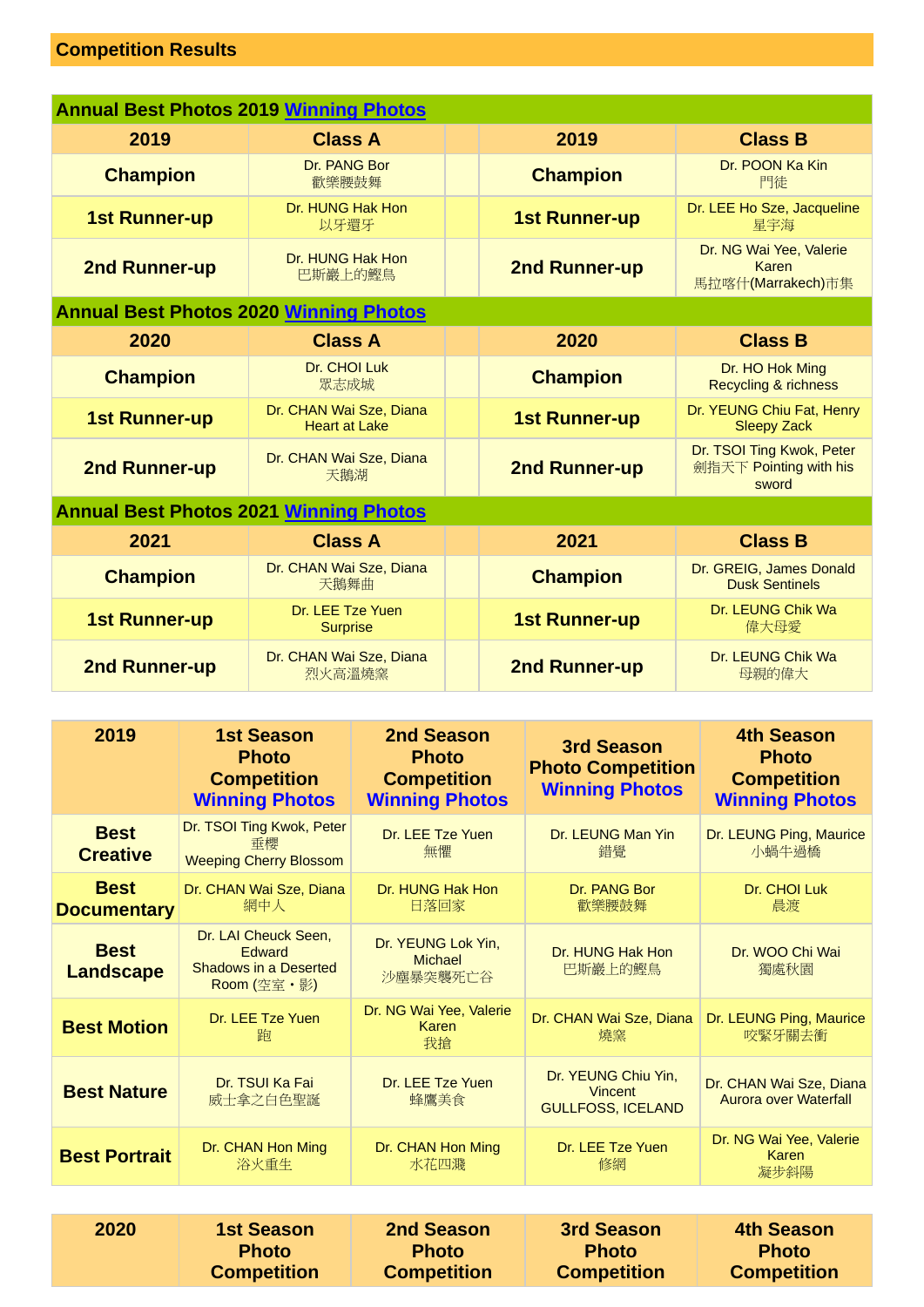# **Competition Results**

| <b>Annual Best Photos 2019 Winning Photos</b> |                                                 |  |                      |                                                              |  |
|-----------------------------------------------|-------------------------------------------------|--|----------------------|--------------------------------------------------------------|--|
| 2019                                          | <b>Class A</b>                                  |  | 2019                 | <b>Class B</b>                                               |  |
| Dr. PANG Bor<br><b>Champion</b><br>歡樂腰鼓舞      |                                                 |  | <b>Champion</b>      | Dr. POON Ka Kin<br>門徒                                        |  |
| <b>1st Runner-up</b>                          | Dr. HUNG Hak Hon<br>以牙還牙                        |  | <b>1st Runner-up</b> | Dr. LEE Ho Sze, Jacqueline<br>星宇海                            |  |
| 2nd Runner-up                                 | Dr. HUNG Hak Hon<br>巴斯巖上的鰹鳥                     |  | 2nd Runner-up        | Dr. NG Wai Yee, Valerie<br>Karen<br>馬拉喀什(Marrakech)市集        |  |
| <b>Annual Best Photos 2020 Winning Photos</b> |                                                 |  |                      |                                                              |  |
| 2020                                          | <b>Class A</b>                                  |  | 2020                 | <b>Class B</b>                                               |  |
| <b>Champion</b>                               | Dr. CHOI Luk<br>眾志成城                            |  | <b>Champion</b>      | Dr. HO Hok Ming<br><b>Recycling &amp; richness</b>           |  |
| <b>1st Runner-up</b>                          | Dr. CHAN Wai Sze, Diana<br><b>Heart at Lake</b> |  | <b>1st Runner-up</b> | Dr. YEUNG Chiu Fat, Henry<br><b>Sleepy Zack</b>              |  |
| 2nd Runner-up                                 | Dr. CHAN Wai Sze, Diana<br>天鵝湖                  |  | 2nd Runner-up        | Dr. TSOI Ting Kwok, Peter<br>劍指天下 Pointing with his<br>sword |  |
| <b>Annual Best Photos 2021 Winning Photos</b> |                                                 |  |                      |                                                              |  |
| 2021                                          | <b>Class A</b>                                  |  | 2021                 | <b>Class B</b>                                               |  |
| <b>Champion</b>                               | Dr. CHAN Wai Sze, Diana<br>天鵝舞曲                 |  | <b>Champion</b>      | Dr. GREIG, James Donald<br><b>Dusk Sentinels</b>             |  |
| <b>1st Runner-up</b>                          | Dr. LEE Tze Yuen<br><b>Surprise</b>             |  | <b>1st Runner-up</b> | Dr. LEUNG Chik Wa<br>偉大母愛                                    |  |
| 2nd Runner-up                                 | Dr. CHAN Wai Sze, Diana<br>烈火高溫燒窯               |  | 2nd Runner-up        | Dr. LEUNG Chik Wa<br>母親的偉大                                   |  |

| 2019                              | <b>1st Season</b><br><b>Photo</b><br><b>Competition</b><br><b>Winning Photos</b>     | 2nd Season<br><b>Photo</b><br><b>Competition</b><br><b>Winning Photos</b> | <b>3rd Season</b><br><b>Photo Competition</b><br><b>Winning Photos</b> | <b>4th Season</b><br><b>Photo</b><br><b>Competition</b><br><b>Winning Photos</b> |
|-----------------------------------|--------------------------------------------------------------------------------------|---------------------------------------------------------------------------|------------------------------------------------------------------------|----------------------------------------------------------------------------------|
| <b>Best</b><br><b>Creative</b>    | Dr. TSOI Ting Kwok, Peter<br>垂櫻<br><b>Weeping Cherry Blossom</b>                     | Dr. LEE Tze Yuen<br>無懼                                                    | Dr. LEUNG Man Yin<br>錯覺                                                | Dr. LEUNG Ping, Maurice<br>小蝸牛過橋                                                 |
| <b>Best</b><br><b>Documentary</b> | Dr. CHAN Wai Sze, Diana<br>網中人                                                       | Dr. HUNG Hak Hon<br>日落回家                                                  | Dr. PANG Bor<br>歡樂腰鼓舞                                                  | Dr. CHOI Luk<br>晨渡                                                               |
| <b>Best</b><br><b>Landscape</b>   | Dr. LAI Cheuck Seen,<br><b>Edward</b><br><b>Shadows in a Deserted</b><br>Room (空室・影) | Dr. YEUNG Lok Yin,<br><b>Michael</b><br>沙塵暴突襲死亡谷                          | Dr. HUNG Hak Hon<br>巴斯巖上的鰹鳥                                            | Dr. WOO Chi Wai<br>獨處秋園                                                          |
| <b>Best Motion</b>                | Dr. LEE Tze Yuen<br>韵                                                                | Dr. NG Wai Yee, Valerie<br>Karen<br>我搶                                    | Dr. CHAN Wai Sze, Diana<br>燒窯                                          | Dr. LEUNG Ping, Maurice<br>咬緊牙關去衝                                                |
| <b>Best Nature</b>                | Dr. TSUI Ka Fai<br>威士拿之白色聖誕                                                          | Dr. LEE Tze Yuen<br>蜂鷹美食                                                  | Dr. YEUNG Chiu Yin,<br><b>Vincent</b><br><b>GULLFOSS, ICELAND</b>      | Dr. CHAN Wai Sze, Diana<br><b>Aurora over Waterfall</b>                          |
| <b>Best Portrait</b>              | Dr. CHAN Hon Ming<br>浴火重生                                                            | Dr. CHAN Hon Ming<br>水花四濺                                                 | Dr. LEE Tze Yuen<br>修網                                                 | Dr. NG Wai Yee, Valerie<br>Karen<br>凝步斜陽                                         |
|                                   |                                                                                      |                                                                           |                                                                        |                                                                                  |
| 2020                              | <b>1st Season</b><br><b>Photo</b><br><b>Competition</b>                              | <b>2nd Season</b><br><b>Photo</b><br><b>Competition</b>                   | <b>3rd Season</b><br><b>Photo</b><br><b>Competition</b>                | <b>4th Season</b><br><b>Photo</b><br><b>Competition</b>                          |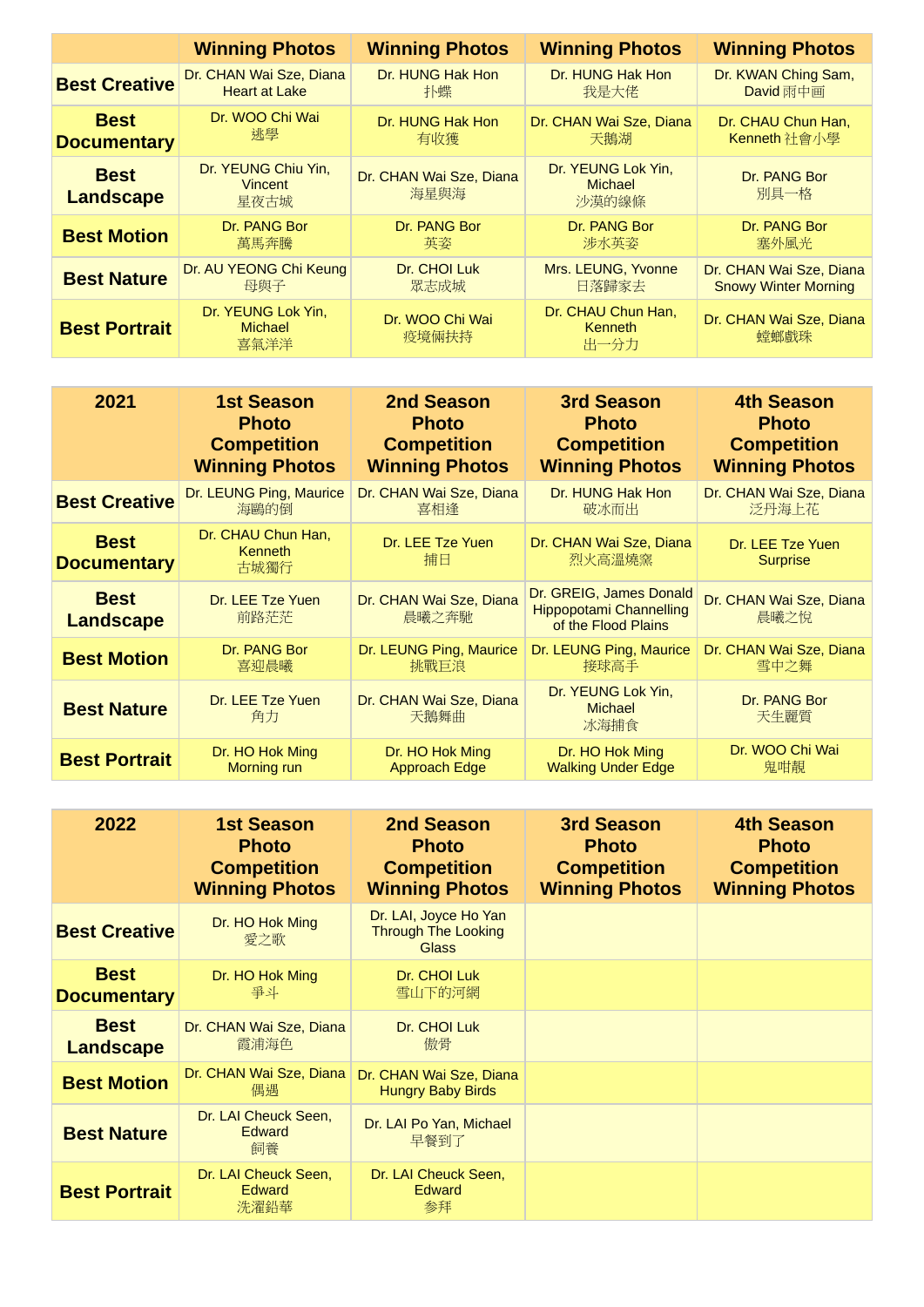|                                 | <b>Winning Photos</b>                         | <b>Winning Photos</b>           | <b>Winning Photos</b>                         | <b>Winning Photos</b>           |
|---------------------------------|-----------------------------------------------|---------------------------------|-----------------------------------------------|---------------------------------|
| <b>Best Creative</b>            | Dr. CHAN Wai Sze, Diana                       | Dr. HUNG Hak Hon                | Dr. HUNG Hak Hon                              | Dr. KWAN Ching Sam,             |
|                                 | <b>Heart at Lake</b>                          | 扑蝶                              | 我是大佬                                          | David 雨中画                       |
| <b>Best</b>                     | Dr. WOO Chi Wai                               | Dr. HUNG Hak Hon                | Dr. CHAN Wai Sze, Diana                       | Dr. CHAU Chun Han,              |
| <b>Documentary</b>              | 挑學                                            | 有收獲                             | 天鵝湖                                           | Kenneth 社會小學                    |
| <b>Best</b><br><b>Landscape</b> | Dr. YEUNG Chiu Yin,<br><b>Vincent</b><br>星夜古城 | Dr. CHAN Wai Sze, Diana<br>海星與海 | Dr. YEUNG Lok Yin,<br><b>Michael</b><br>沙漠的線條 | Dr. PANG Bor<br>別具一格            |
| <b>Best Motion</b>              | Dr. PANG Bor                                  | Dr. PANG Bor                    | Dr. PANG Bor                                  | Dr. PANG Bor                    |
|                                 | 萬馬奔騰                                          | 英姿                              | 涉水英姿                                          | 塞外風光                            |
| <b>Best Nature</b>              | Dr. AU YEONG Chi Keung                        | Dr. CHOI Luk                    | Mrs. LEUNG, Yvonne                            | Dr. CHAN Wai Sze, Diana         |
|                                 | 母與子                                           | 眾志成城                            | 日落歸家去                                         | <b>Snowy Winter Morning</b>     |
| <b>Best Portrait</b>            | Dr. YEUNG Lok Yin,<br><b>Michael</b><br>喜氣洋洋  | Dr. WOO Chi Wai<br>疫境倆扶持        | Dr. CHAU Chun Han,<br><b>Kenneth</b><br>出一分力  | Dr. CHAN Wai Sze, Diana<br>螳螂戲珠 |

| 2021                              | <b>1st Season</b>                            | <b>2nd Season</b>                | 3rd Season                                                                       | <b>4th Season</b>                   |
|-----------------------------------|----------------------------------------------|----------------------------------|----------------------------------------------------------------------------------|-------------------------------------|
|                                   | <b>Photo</b>                                 | <b>Photo</b>                     | <b>Photo</b>                                                                     | <b>Photo</b>                        |
|                                   | <b>Competition</b>                           | <b>Competition</b>               | <b>Competition</b>                                                               | <b>Competition</b>                  |
|                                   | <b>Winning Photos</b>                        | <b>Winning Photos</b>            | <b>Winning Photos</b>                                                            | <b>Winning Photos</b>               |
| <b>Best Creative</b>              | Dr. LEUNG Ping, Maurice                      | Dr. CHAN Wai Sze, Diana          | Dr. HUNG Hak Hon                                                                 | Dr. CHAN Wai Sze, Diana             |
|                                   | 海鷗的倒                                         | 喜相逢                              | 破冰而出                                                                             | 泛丹海上花                               |
| <b>Best</b><br><b>Documentary</b> | Dr. CHAU Chun Han,<br><b>Kenneth</b><br>古城獨行 | Dr. LEE Tze Yuen<br>捕日           | Dr. CHAN Wai Sze, Diana<br>烈火高溫燒窯                                                | Dr. LEE Tze Yuen<br><b>Surprise</b> |
| <b>Best</b><br><b>Landscape</b>   | Dr. LEE Tze Yuen<br>前路茫茫                     | Dr. CHAN Wai Sze, Diana<br>晨曦之奔馳 | Dr. GREIG, James Donald<br><b>Hippopotami Channelling</b><br>of the Flood Plains | Dr. CHAN Wai Sze, Diana<br>晨曦之悅     |
| <b>Best Motion</b>                | Dr. PANG Bor                                 | Dr. LEUNG Ping, Maurice          | Dr. LEUNG Ping, Maurice                                                          | Dr. CHAN Wai Sze, Diana             |
|                                   | 喜迎晨曦                                         | 挑戰巨浪                             | 接球高手                                                                             | 雪中之舞                                |
| <b>Best Nature</b>                | Dr. LEE Tze Yuen<br>角力                       | Dr. CHAN Wai Sze, Diana<br>天鵝舞曲  | Dr. YEUNG Lok Yin,<br><b>Michael</b><br>冰海捕食                                     | Dr. PANG Bor<br>天生麗質                |
| <b>Best Portrait</b>              | Dr. HO Hok Ming                              | Dr. HO Hok Ming                  | Dr. HO Hok Ming                                                                  | Dr. WOO Chi Wai                     |
|                                   | Morning run                                  | <b>Approach Edge</b>             | <b>Walking Under Edge</b>                                                        | 鬼咁靚                                 |

| 2022                              | <b>1st Season</b><br><b>Photo</b><br><b>Competition</b><br><b>Winning Photos</b> | 2nd Season<br><b>Photo</b><br><b>Competition</b><br><b>Winning Photos</b> | 3rd Season<br><b>Photo</b><br><b>Competition</b><br><b>Winning Photos</b> | <b>4th Season</b><br><b>Photo</b><br><b>Competition</b><br><b>Winning Photos</b> |
|-----------------------------------|----------------------------------------------------------------------------------|---------------------------------------------------------------------------|---------------------------------------------------------------------------|----------------------------------------------------------------------------------|
| <b>Best Creative</b>              | Dr. HO Hok Ming<br>愛之歌                                                           | Dr. LAI, Joyce Ho Yan<br><b>Through The Looking</b><br><b>Glass</b>       |                                                                           |                                                                                  |
| <b>Best</b><br><b>Documentary</b> | Dr. HO Hok Ming<br>毒才                                                            | Dr. CHOI Luk<br>雪山下的河網                                                    |                                                                           |                                                                                  |
| <b>Best</b><br><b>Landscape</b>   | Dr. CHAN Wai Sze, Diana<br>霞浦海色                                                  | Dr. CHOI Luk<br>傲骨                                                        |                                                                           |                                                                                  |
| <b>Best Motion</b>                | Dr. CHAN Wai Sze, Diana<br>偶遇                                                    | Dr. CHAN Wai Sze, Diana<br><b>Hungry Baby Birds</b>                       |                                                                           |                                                                                  |
| <b>Best Nature</b>                | Dr. LAI Cheuck Seen,<br><b>Edward</b><br>飼養                                      | Dr. LAI Po Yan, Michael<br>早餐到了                                           |                                                                           |                                                                                  |
| <b>Best Portrait</b>              | Dr. LAI Cheuck Seen,<br><b>Edward</b><br>洗濯鉛華                                    | Dr. LAI Cheuck Seen,<br><b>Edward</b><br>参拜                               |                                                                           |                                                                                  |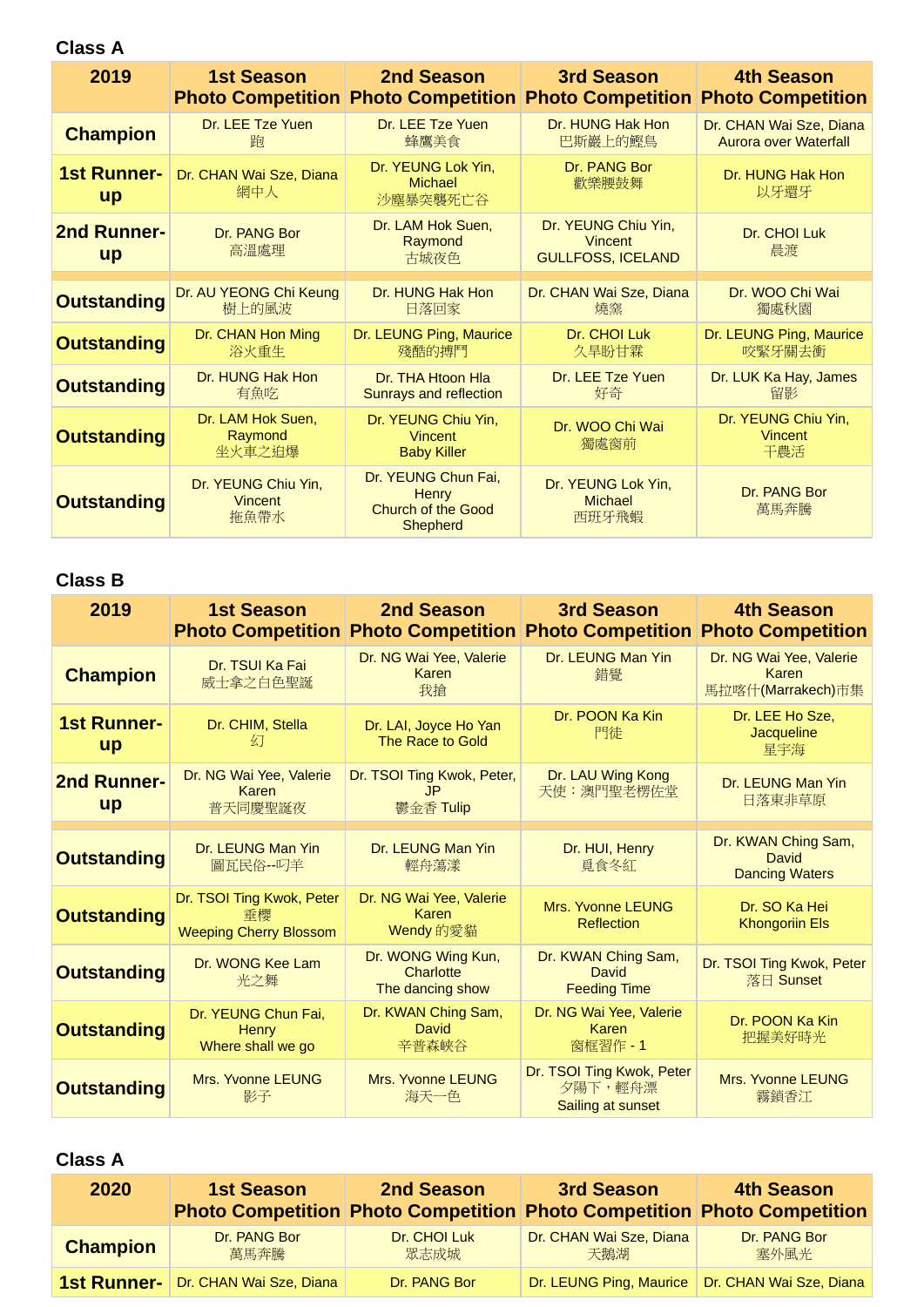**Class A**

| 2019                            | <b>1st Season</b>                             | 2nd Season<br><b>Photo Competition Photo Competition Photo Competition</b>   | 3rd Season                                                        | <b>4th Season</b><br><b>Photo Competition</b>    |
|---------------------------------|-----------------------------------------------|------------------------------------------------------------------------------|-------------------------------------------------------------------|--------------------------------------------------|
| <b>Champion</b>                 | Dr. LEE Tze Yuen<br>胸                         | Dr. LEE Tze Yuen<br>蜂鷹美食                                                     | Dr. HUNG Hak Hon<br>巴斯巖上的鰹鳥                                       | Dr. CHAN Wai Sze, Diana<br>Aurora over Waterfall |
| <b>1st Runner-</b><br><b>up</b> | Dr. CHAN Wai Sze, Diana<br>網中人                | Dr. YEUNG Lok Yin,<br><b>Michael</b><br>沙塵暴突襲死亡谷                             | Dr. PANG Bor<br>歡樂腰鼓舞                                             | Dr. HUNG Hak Hon<br>以牙還牙                         |
| <b>2nd Runner-</b><br><b>up</b> | Dr. PANG Bor<br>高溫處理                          | Dr. LAM Hok Suen,<br>Raymond<br>古城夜色                                         | Dr. YEUNG Chiu Yin,<br><b>Vincent</b><br><b>GULLFOSS, ICELAND</b> | Dr. CHOI Luk<br>晨渡                               |
|                                 |                                               |                                                                              |                                                                   |                                                  |
| <b>Outstanding</b>              | Dr. AU YEONG Chi Keung<br>樹上的風波               | Dr. HUNG Hak Hon<br>日落回家                                                     | Dr. CHAN Wai Sze, Diana<br>燒窯                                     | Dr. WOO Chi Wai<br>獨處秋園                          |
| <b>Outstanding</b>              | Dr. CHAN Hon Ming<br>浴火重生                     | Dr. LEUNG Ping, Maurice<br>殘酷的搏鬥                                             | Dr. CHOI Luk<br>久旱盼甘霖                                             | Dr. LEUNG Ping, Maurice<br>咬緊牙關去衝                |
| <b>Outstanding</b>              | Dr. HUNG Hak Hon<br>有魚吃                       | Dr. THA Htoon Hla<br><b>Sunrays and reflection</b>                           | Dr. LEE Tze Yuen<br>好奇                                            | Dr. LUK Ka Hay, James<br>留影                      |
| <b>Outstanding</b>              | Dr. LAM Hok Suen,<br>Raymond<br>坐火車之迫爆        | Dr. YEUNG Chiu Yin,<br><b>Vincent</b><br><b>Baby Killer</b>                  | Dr. WOO Chi Wai<br>獨處窗前                                           | Dr. YEUNG Chiu Yin,<br><b>Vincent</b><br>干農活     |
| <b>Outstanding</b>              | Dr. YEUNG Chiu Yin,<br><b>Vincent</b><br>拖魚帶水 | Dr. YEUNG Chun Fai,<br><b>Henry</b><br>Church of the Good<br><b>Shepherd</b> | Dr. YEUNG Lok Yin,<br><b>Michael</b><br>西班牙飛蝦                     | Dr. PANG Bor<br>萬馬奔騰                             |

#### **Class B**

| 2019                            | <b>1st Season</b><br><b>Photo Competition</b>                    | 2nd Season                                          | 3rd Season<br><b>Photo Competition Photo Competition</b>  | <b>4th Season</b><br><b>Photo Competition</b>         |
|---------------------------------|------------------------------------------------------------------|-----------------------------------------------------|-----------------------------------------------------------|-------------------------------------------------------|
| <b>Champion</b>                 | Dr. TSUI Ka Fai<br>威士拿之白色聖誕                                      | Dr. NG Wai Yee, Valerie<br>Karen<br>我搶              | Dr. LEUNG Man Yin<br>錯覺                                   | Dr. NG Wai Yee, Valerie<br>Karen<br>馬拉喀什(Marrakech)市集 |
| <b>1st Runner-</b><br><b>up</b> | Dr. CHIM, Stella<br>幻                                            | Dr. LAI, Joyce Ho Yan<br>The Race to Gold           | Dr. POON Ka Kin<br>門徒                                     | Dr. LEE Ho Sze,<br>Jacqueline<br>星宇海                  |
| 2nd Runner-<br>up               | Dr. NG Wai Yee, Valerie<br>Karen<br>普天同慶聖誕夜                      | Dr. TSOI Ting Kwok, Peter,<br>JP.<br>鬱金香 Tulip      | Dr. LAU Wing Kong<br>天使:澳門聖老楞佐堂                           | Dr. LEUNG Man Yin<br>日落東非草原                           |
| <b>Outstanding</b>              | Dr. LEUNG Man Yin<br>圖瓦民俗--叼羊                                    | Dr. LEUNG Man Yin<br>輕舟蕩漾                           | Dr. HUI, Henry<br>覓食冬紅                                    | Dr. KWAN Ching Sam,<br>David<br><b>Dancing Waters</b> |
| <b>Outstanding</b>              | Dr. TSOI Ting Kwok, Peter<br>垂櫻<br><b>Weeping Cherry Blossom</b> | Dr. NG Wai Yee, Valerie<br>Karen<br>Wendy 的愛貓       | Mrs. Yvonne LEUNG<br>Reflection                           | Dr. SO Ka Hei<br><b>Khongoriin Els</b>                |
| <b>Outstanding</b>              | Dr. WONG Kee Lam<br>光之舞                                          | Dr. WONG Wing Kun,<br>Charlotte<br>The dancing show | Dr. KWAN Ching Sam,<br>David<br><b>Feeding Time</b>       | Dr. TSOI Ting Kwok, Peter<br>落日 Sunset                |
| <b>Outstanding</b>              | Dr. YEUNG Chun Fai,<br>Henry<br>Where shall we go                | Dr. KWAN Ching Sam,<br><b>David</b><br>辛普森峽谷        | Dr. NG Wai Yee, Valerie<br>Karen<br>窗框習作 - 1              | Dr. POON Ka Kin<br>把握美好時光                             |
| <b>Outstanding</b>              | Mrs. Yvonne LEUNG<br>影子                                          | Mrs. Yvonne LEUNG<br>海天一色                           | Dr. TSOI Ting Kwok, Peter<br>夕陽下,輕舟漂<br>Sailing at sunset | <b>Mrs. Yvonne LEUNG</b><br>霧鎖香江                      |

| 2020               | <b>1st Season</b>       | 2nd Season           | 3rd Season<br><b>Photo Competition Photo Competition Photo Competition Photo Competition</b> | 4th Season                                        |
|--------------------|-------------------------|----------------------|----------------------------------------------------------------------------------------------|---------------------------------------------------|
| <b>Champion</b>    | Dr. PANG Bor<br>萬馬奔騰    | Dr. CHOI Luk<br>眾志成城 | Dr. CHAN Wai Sze, Diana<br>天鵝湖                                                               | Dr. PANG Bor<br>塞外風光                              |
| <b>1st Runner-</b> | Dr. CHAN Wai Sze, Diana | Dr. PANG Bor         |                                                                                              | Dr. LEUNG Ping, Maurice   Dr. CHAN Wai Sze, Diana |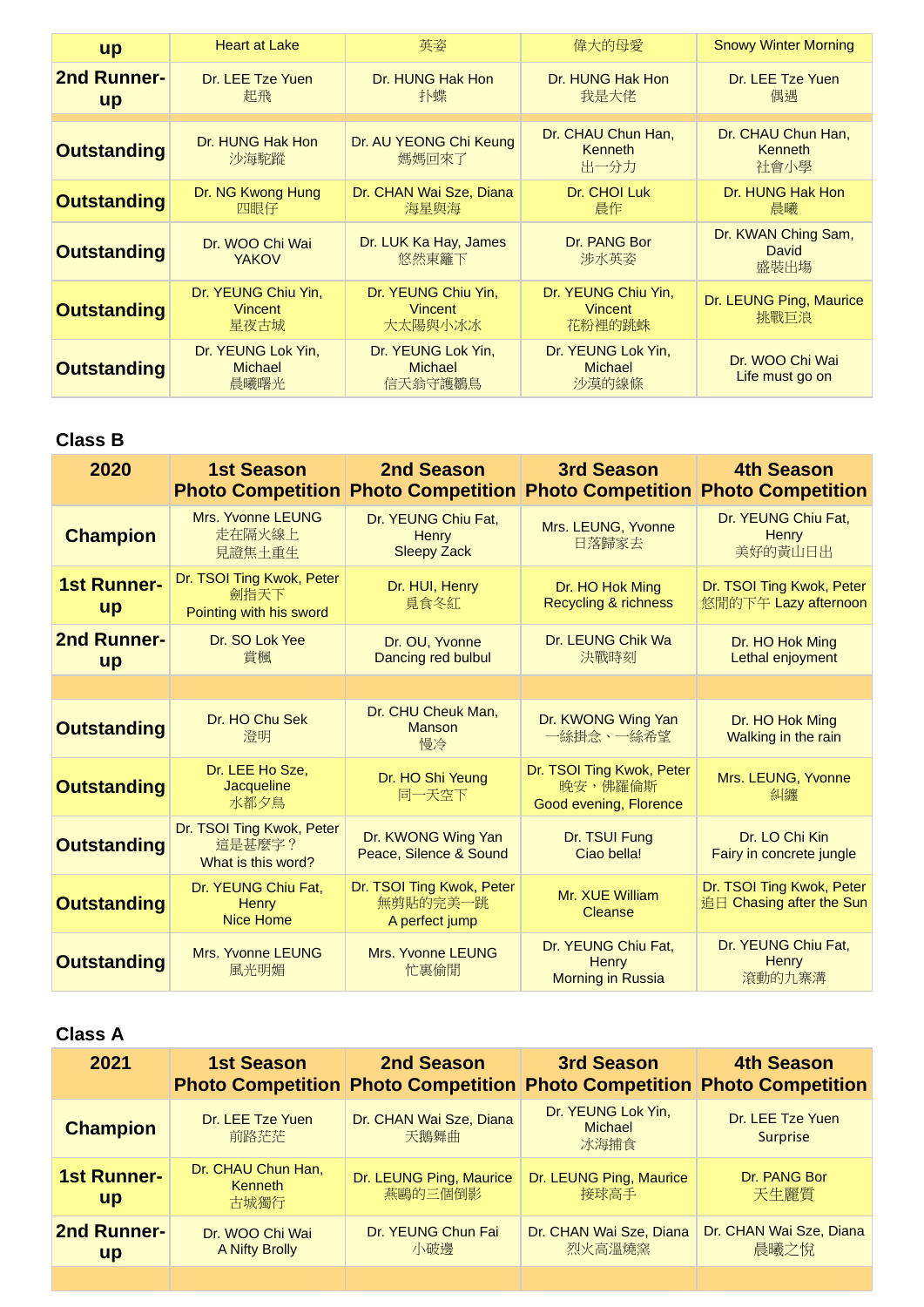| <b>up</b>                | <b>Heart at Lake</b>                         | 英姿                                              | 偉大的母愛                                         | <b>Snowy Winter Morning</b>                  |
|--------------------------|----------------------------------------------|-------------------------------------------------|-----------------------------------------------|----------------------------------------------|
| 2nd Runner-<br><b>up</b> | Dr. LEE Tze Yuen<br>起飛                       | Dr. HUNG Hak Hon<br>扑蝶                          | Dr. HUNG Hak Hon<br>我是大佬                      | Dr. LEE Tze Yuen<br>偶遇                       |
| <b>Outstanding</b>       | Dr. HUNG Hak Hon<br>沙海駝蹤                     | Dr. AU YEONG Chi Keung<br>媽媽回來了                 | Dr. CHAU Chun Han,<br><b>Kenneth</b><br>出一分力  | Dr. CHAU Chun Han,<br><b>Kenneth</b><br>社會小學 |
| <b>Outstanding</b>       | Dr. NG Kwong Hung<br>四眼仔                     | Dr. CHAN Wai Sze, Diana<br>海星與海                 | Dr. CHOI Luk<br>晨作                            | Dr. HUNG Hak Hon<br>晨曦                       |
| <b>Outstanding</b>       | Dr. WOO Chi Wai<br><b>YAKOV</b>              | Dr. LUK Ka Hay, James<br>悠然東籬下                  | Dr. PANG Bor<br>涉水英姿                          | Dr. KWAN Ching Sam,<br><b>David</b><br>盛裝出塲  |
| <b>Outstanding</b>       | Dr. YEUNG Chiu Yin,<br>Vincent<br>星夜古城       | Dr. YEUNG Chiu Yin,<br>Vincent<br>大太陽與小冰冰       | Dr. YEUNG Chiu Yin,<br>Vincent<br>花粉裡的跳蛛      | Dr. LEUNG Ping, Maurice<br>挑戰巨浪              |
| <b>Outstanding</b>       | Dr. YEUNG Lok Yin,<br><b>Michael</b><br>晨曦曙光 | Dr. YEUNG Lok Yin,<br><b>Michael</b><br>信天翁守護鶵鳥 | Dr. YEUNG Lok Yin,<br><b>Michael</b><br>沙漠的線條 | Dr. WOO Chi Wai<br>Life must go on           |

| 2020                            | <b>1st Season</b>                                            | 2nd Season<br><b>Photo Competition Photo Competition Photo Competition Photo Competition</b> | 3rd Season                                                     | <b>4th Season</b>                                     |
|---------------------------------|--------------------------------------------------------------|----------------------------------------------------------------------------------------------|----------------------------------------------------------------|-------------------------------------------------------|
| <b>Champion</b>                 | Mrs. Yvonne LEUNG<br>走在隔火線上<br>見證焦土重生                        | Dr. YEUNG Chiu Fat.<br>Henry<br><b>Sleepy Zack</b>                                           | Mrs. LEUNG, Yvonne<br>日落歸家去                                    | Dr. YEUNG Chiu Fat,<br>Henry<br>美好的黃山日出               |
| <b>1st Runner-</b><br><b>up</b> | Dr. TSOI Ting Kwok, Peter<br>劍指天下<br>Pointing with his sword | Dr. HUI, Henry<br>覓食冬紅                                                                       | Dr. HO Hok Ming<br><b>Recycling &amp; richness</b>             | Dr. TSOI Ting Kwok, Peter<br>悠閒的下午 Lazy afternoon     |
| 2nd Runner-<br><b>up</b>        | Dr. SO Lok Yee<br>賞楓                                         | Dr. OU, Yvonne<br>Dancing red bulbul                                                         | Dr. LEUNG Chik Wa<br>決戰時刻                                      | Dr. HO Hok Ming<br>Lethal enjoyment                   |
|                                 |                                                              |                                                                                              |                                                                |                                                       |
| <b>Outstanding</b>              | Dr. HO Chu Sek<br>澄明                                         | Dr. CHU Cheuk Man,<br><b>Manson</b><br>慢冷                                                    | Dr. KWONG Wing Yan<br>一絲掛念、一絲希望                                | Dr. HO Hok Ming<br>Walking in the rain                |
| <b>Outstanding</b>              | Dr. LEE Ho Sze,<br><b>Jacqueline</b><br>水都夕鳥                 | Dr. HO Shi Yeung<br>同一天空下                                                                    | Dr. TSOI Ting Kwok, Peter<br>晚安,佛羅倫斯<br>Good evening, Florence | Mrs. LEUNG, Yvonne<br>糾纏                              |
| <b>Outstanding</b>              | Dr. TSOI Ting Kwok, Peter<br>這是甚麼字?<br>What is this word?    | Dr. KWONG Wing Yan<br>Peace, Silence & Sound                                                 | Dr. TSUI Fung<br>Ciao bella!                                   | Dr. LO Chi Kin<br>Fairy in concrete jungle            |
| <b>Outstanding</b>              | Dr. YEUNG Chiu Fat,<br>Henry<br><b>Nice Home</b>             | Dr. TSOI Ting Kwok, Peter<br>無剪貼的完美一跳<br>A perfect jump                                      | Mr. XUE William<br>Cleanse                                     | Dr. TSOI Ting Kwok, Peter<br>追日 Chasing after the Sun |
| <b>Outstanding</b>              | <b>Mrs. Yvonne LEUNG</b><br>風光明媚                             | <b>Mrs. Yvonne LEUNG</b><br>忙裏偷閒                                                             | Dr. YEUNG Chiu Fat,<br>Henry<br><b>Morning in Russia</b>       | Dr. YEUNG Chiu Fat,<br><b>Henry</b><br>滾動的九寨溝         |

| 2021                            | <b>1st Season</b>                            | 2nd Season<br><b>Photo Competition Photo Competition Photo Competition Photo Competition</b> | 3rd Season                            | <b>4th Season</b>                   |
|---------------------------------|----------------------------------------------|----------------------------------------------------------------------------------------------|---------------------------------------|-------------------------------------|
| <b>Champion</b>                 | Dr. LEE Tze Yuen<br>前路茫茫                     | Dr. CHAN Wai Sze, Diana<br>天鵝舞曲                                                              | Dr. YEUNG Lok Yin,<br>Michael<br>冰海捕食 | Dr. LEE Tze Yuen<br><b>Surprise</b> |
| <b>1st Runner-</b><br><b>up</b> | Dr. CHAU Chun Han,<br><b>Kenneth</b><br>古城獨行 | Dr. LEUNG Ping, Maurice<br>燕鷗的三個倒影                                                           | Dr. LEUNG Ping, Maurice<br>接球高手       | Dr. PANG Bor<br>天牛麗質                |
| <b>2nd Runner-</b><br><b>up</b> | Dr. WOO Chi Wai<br>A Nifty Brolly            | Dr. YEUNG Chun Fai<br>小破邊                                                                    | Dr. CHAN Wai Sze, Diana<br>烈火高溫燒窯     | Dr. CHAN Wai Sze, Diana<br>晨曦之悅     |
|                                 |                                              |                                                                                              |                                       |                                     |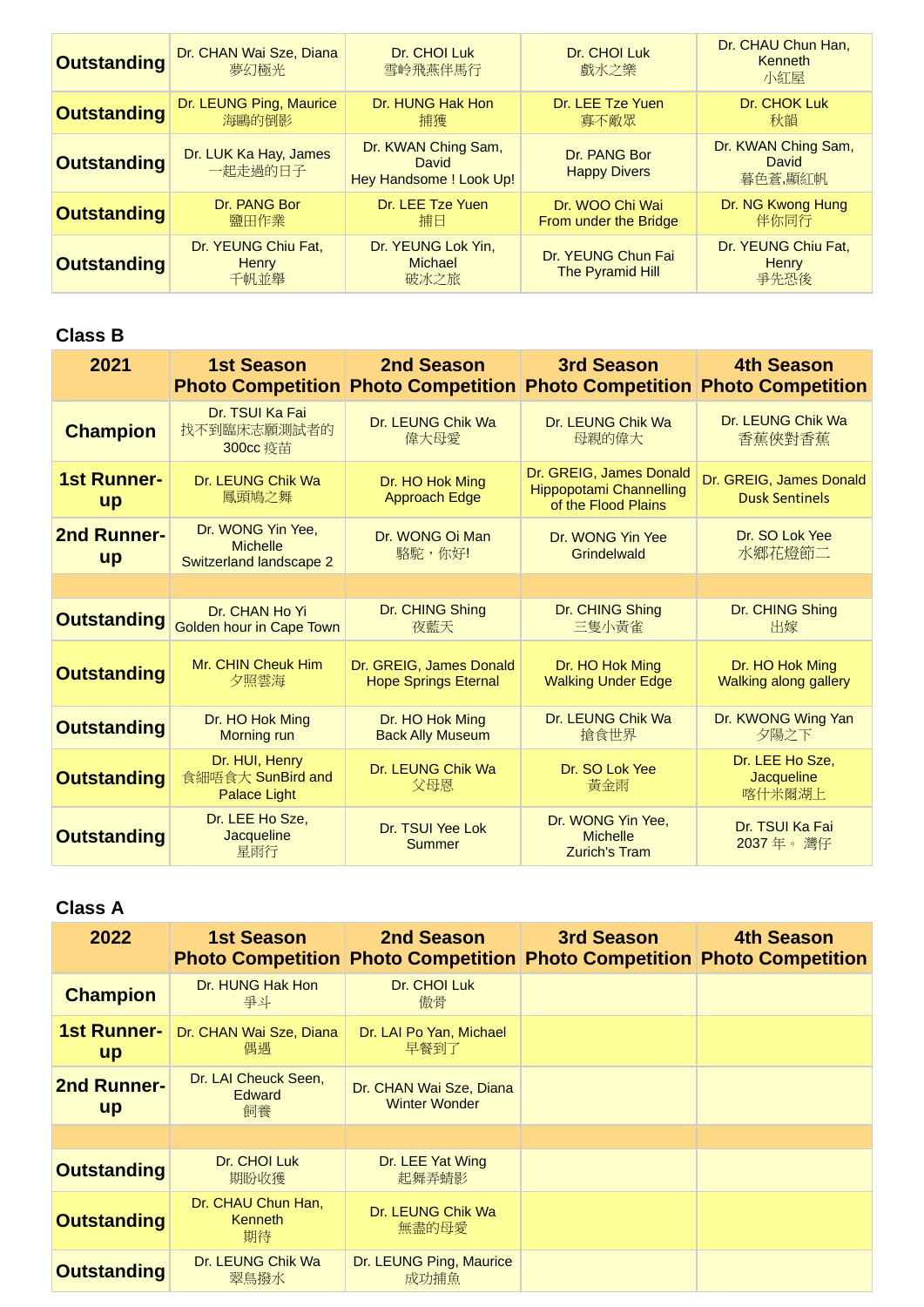| <b>Outstanding</b> | Dr. CHAN Wai Sze, Diana<br>夢幻極光             | Dr. CHOI Luk<br>雪岭飛燕伴馬行                                        | Dr. CHOI Luk<br>戲水之樂                          | Dr. CHAU Chun Han,<br><b>Kenneth</b><br>小紅屋 |
|--------------------|---------------------------------------------|----------------------------------------------------------------|-----------------------------------------------|---------------------------------------------|
| <b>Outstanding</b> | Dr. LEUNG Ping, Maurice<br>海鷗的倒影            | Dr. HUNG Hak Hon<br>捕獲                                         | Dr. LEE Tze Yuen<br>寡不敵眾                      | Dr. CHOK Luk<br>秋韻                          |
| <b>Outstanding</b> | Dr. LUK Ka Hay, James<br>一起走過的日子            | Dr. KWAN Ching Sam,<br><b>David</b><br>Hey Handsome ! Look Up! | Dr. PANG Bor<br><b>Happy Divers</b>           | Dr. KWAN Ching Sam,<br>David<br>暮色蒼,顯紅帆     |
| <b>Outstanding</b> | Dr. PANG Bor<br>鹽田作業                        | Dr. LEE Tze Yuen<br>捕日                                         | Dr. WOO Chi Wai<br>From under the Bridge      | Dr. NG Kwong Hung<br>伴你同行                   |
| <b>Outstanding</b> | Dr. YEUNG Chiu Fat,<br><b>Henry</b><br>千帆並舉 | Dr. YEUNG Lok Yin,<br>Michael<br>破冰之旅                          | Dr. YEUNG Chun Fai<br><b>The Pyramid Hill</b> | Dr. YEUNG Chiu Fat,<br>Henry<br>爭先恐後        |

| 2021                            | <b>1st Season</b>                                               | <b>2nd Season Figure 1.1 Season</b>                    | 3rd Season<br><b>Photo Competition Photo Competition Photo Competition Photo Competition</b> | <b>4th Season</b>                                |
|---------------------------------|-----------------------------------------------------------------|--------------------------------------------------------|----------------------------------------------------------------------------------------------|--------------------------------------------------|
| <b>Champion</b>                 | Dr. TSUI Ka Fai<br>找不到臨床志願測試者的<br>300cc 疫苗                      | Dr. LEUNG Chik Wa<br>偉大母愛                              | Dr. LEUNG Chik Wa<br>母親的偉大                                                                   | Dr. LEUNG Chik Wa<br>香蕉俠對香蕉                      |
| <b>1st Runner-</b><br><b>up</b> | Dr. LEUNG Chik Wa<br>鳳頭鳩之舞                                      | Dr. HO Hok Ming<br><b>Approach Edge</b>                | Dr. GREIG, James Donald<br><b>Hippopotami Channelling</b><br>of the Flood Plains             | Dr. GREIG, James Donald<br><b>Dusk Sentinels</b> |
| <b>2nd Runner-</b><br><b>up</b> | Dr. WONG Yin Yee,<br><b>Michelle</b><br>Switzerland landscape 2 | Dr. WONG Oi Man<br>駱駝,你好!                              | Dr. WONG Yin Yee<br>Grindelwald                                                              | Dr. SO Lok Yee<br>水鄉花燈節二                         |
|                                 |                                                                 |                                                        |                                                                                              |                                                  |
| <b>Outstanding</b>              | Dr. CHAN Ho Yi<br>Golden hour in Cape Town                      | Dr. CHING Shing<br>夜藍天                                 | Dr. CHING Shing<br>三隻小黃雀                                                                     | Dr. CHING Shing<br>出嫁                            |
| <b>Outstanding</b>              | Mr. CHIN Cheuk Him<br>夕照雲海                                      | Dr. GREIG, James Donald<br><b>Hope Springs Eternal</b> | Dr. HO Hok Ming<br><b>Walking Under Edge</b>                                                 | Dr. HO Hok Ming<br>Walking along gallery         |
| <b>Outstanding</b>              | Dr. HO Hok Ming<br><b>Morning run</b>                           | Dr. HO Hok Ming<br><b>Back Ally Museum</b>             | Dr. LEUNG Chik Wa<br>搶食世界                                                                    | Dr. KWONG Wing Yan<br>夕陽之下                       |
| <b>Outstanding</b>              | Dr. HUI, Henry<br>食細唔食大 SunBird and<br><b>Palace Light</b>      | Dr. LEUNG Chik Wa<br>父母恩                               | Dr. SO Lok Yee<br>黃金雨                                                                        | Dr. LEE Ho Sze,<br>Jacqueline<br>喀什米爾湖上          |
| <b>Outstanding</b>              | Dr. LEE Ho Sze.<br>Jacqueline<br>星雨行                            | Dr. TSUI Yee Lok<br><b>Summer</b>                      | Dr. WONG Yin Yee,<br><b>Michelle</b><br><b>Zurich's Tram</b>                                 | Dr. TSUI Ka Fai<br>2037年。灣仔                      |

| 2022                            | <b>1st Season</b>                           | 2nd Season<br><b>Photo Competition Photo Competition Photo Competition Photo Competition</b> | 3rd Season | <b>4th Season</b> |
|---------------------------------|---------------------------------------------|----------------------------------------------------------------------------------------------|------------|-------------------|
| <b>Champion</b>                 | Dr. HUNG Hak Hon<br>去才                      | Dr. CHOI Luk<br>傲骨                                                                           |            |                   |
| <b>1st Runner-</b><br><b>up</b> | Dr. CHAN Wai Sze, Diana<br>偶遇               | Dr. LAI Po Yan, Michael<br>早餐到了                                                              |            |                   |
| <b>2nd Runner-</b><br><b>up</b> | Dr. LAI Cheuck Seen,<br><b>Edward</b><br>飼養 | Dr. CHAN Wai Sze, Diana<br><b>Winter Wonder</b>                                              |            |                   |
|                                 |                                             |                                                                                              |            |                   |
| <b>Outstanding</b>              | Dr. CHOI Luk<br>期盼收獲                        | Dr. LEE Yat Wing<br>起舞弄蜻影                                                                    |            |                   |
| <b>Outstanding</b>              | Dr. CHAU Chun Han,<br>Kenneth<br>期待         | Dr. LEUNG Chik Wa<br>無盡的母愛                                                                   |            |                   |
| <b>Outstanding</b>              | Dr. LEUNG Chik Wa<br>翠鳥撥水                   | Dr. LEUNG Ping, Maurice<br>成功捕魚                                                              |            |                   |